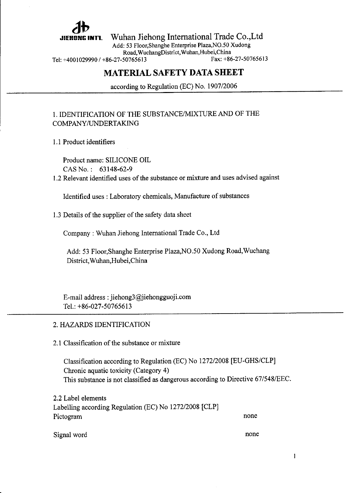

Wuhan Jiehong International Trade Co.,Ltd

Add: 53 Floor,Shanghe Enterprise Plaza,NO.50 Xudong Road, Wuchang District, Wuhan, Hubei, China<br>50765613<br>Fax: +86-27-50765613

Tel: +4001029990 / +86-27-50765613

## MATERIAL SAFETY DATA SHEET

according to Regulation (EC) No. 1907/2006

### 1. IDENTIFICATION OF THE SUBSTANCE/MIXTURE AND OF THE COMPANY/LTNDERTAKING

1.1 Product identifiers

Product name: SILICONE OIL CAS No. : 63148-62-9

1.2 Relevant identified uses of the substance or mixture and uses advised against

Identified uses : Laboratory chemicals, Manufacture of substances

1.3 Details of the supplier of the safety data sheet

Company : Wuhan Jiehong Intemational Trade Co., Ltd

Add: 53 Floor,shanghe Enterprise Plaza,NO.50 Xudong Road,Wuchang District, Wuhan,Hubei.China

E-mail address : jiehong3@jiehongguoji.com Tel.:  $+86-027-50765613$ 

#### 2. HAZARDS IDENTIFICATION

2.1 Classification of the substance or mixture

Classification according to Regulation (EC) No 127212008 [EU-GHS/CLP] Chronic aquatic toxicity (Category 4) This substance is not classified as dangerous according to Directive 67/548/EEC.

<sup>2</sup>.2 Label elements Labelling according Regulation (EC) No 127212008 [CLP] Pictogram none

Signal word

none

 $\mathbf{1}$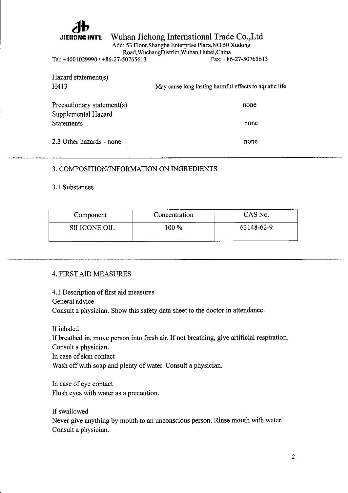

## Wuhan Jiehong Intemational Trade Co.,Ltd

Add: 53 Floor,Shanghe Enterprise Plaza,NO.50 Xudong

Road, Wuchang District, Wuhan, Hubei, China<br>50765613 Fax: +86-27-50765613

Tel: +4001029990 / +86-27-50765613

| Hazard statement(s)        |                                                        |  |
|----------------------------|--------------------------------------------------------|--|
| H413                       | May cause long lasting harmful effects to aquatic life |  |
|                            |                                                        |  |
| Precautionary statement(s) | none                                                   |  |
| Supplemental Hazard        |                                                        |  |
| <b>Statements</b>          | none                                                   |  |
|                            |                                                        |  |
| 2.3 Other hazards - none   | none                                                   |  |
|                            |                                                        |  |

### 3. COMPOSITION/INFORMATION ON INGREDIENTS

3.1 Substances

| Component    | Concentration | CAS No.    |
|--------------|---------------|------------|
| SILICONE OIL | $100\%$       | 63148-62-9 |

### 4. FIRSTAID MEASURES

4.1 Description of first aid measures General advice Consult a physician. Show this safety data sheet to the doctor in attendance.

If inhaled If breathed in, move person into fresh air. If not breathing, give artificial respiration. Consult a physician. In case of skin contact Wash off with soap and plenty of water. Consult a physician.

In case of eye contact Flush eyes with water as a precaution.

If swallowed Never give anything by mouth to an unconscious person. Rinse mouth with water. Consult a physician.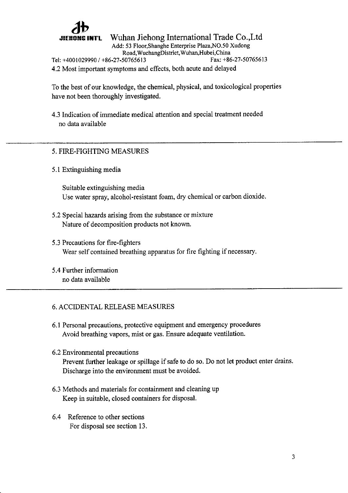# db

Wuhan Jiehong Intemational Trade Co.,Ltd

Add: 53 Floor,Shanghe Enterprise Plaza,NO.50 Xudong Road,WuchangDistrict,Wuhan,Hubei,China Tel: +4001029990 / +86-27-50765613 4.2 Most important symptoms and effects, both acute and delayed

To the best of our knowledge, the chemical, physical, and toxicological properties have not been thoroughly investigated.

4.3 Indication of immediate medical attention and special treatment needed no data available

## 5. FIRE-FIGHTING MEASURES

5.1 Extinguishing media

Suitable extinguishing media Use water spray, alcohol-resistant foam, dry chemical or carbon dioxide.

- 5.2 Special hazards arising from the substance or mixture Nature of decomposition products not known.
- 5.3 Precautions for fire-fighters Wear self contained breathing apparatus for fire fighting if necessary.
- 5.4 Further information no data available

### 6. ACCIDENTAL RELEASE MEASURES

- 6.1 Personal precautions, protective equipment and emergency procedures Avoid breathing vapors, mist or gas. Ensure adequate ventilation.
- 6.2 Environmental precautions Prevent further leakage or spillage if safe to do so. Do not let product enter drains. Discharge into the environment must be avoided.
- 6.3 Methods and materials for containment and cleaning up Keep in suitable, closed containers for disposal.
- 6.4 Reference to other sections For disposal see section 13.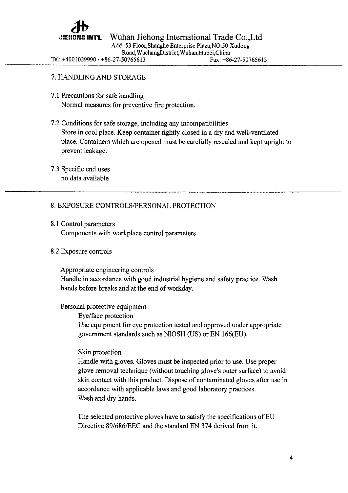

Add: 53 Floor,Shanghe Enterprise Plaza,NO.50 Xudong

Road,WuchangDistrict,Wuhan,Hubei,China

Tel: +4001029990 / +86-27-50765613

Fax: +86-27-50765613

## 7. HANDLINGAND STORAGE

- 7.1 Precautions for safe handling Normal measures for preventive fire protection.
- 7.2 Conditions for safe storage, including any incompatibilities Store in cool place. Keep container tightly closed in a dry and well-ventilated place. Containers which are opened must be carefully resealed and kept upright to prevent leakage.
- 7.3 Specific end uses no data available

## 8. EXPOSURE CONTROLS/PERSONAL PROTECTION

8.1 Control parameters Components with workplace control parameters

## 8.2 Exposure controls

Appropriate engineering controls Handle in accordance with good industrial hygiene and safety practice. Wash hands before breaks and at the end of workday.

## Personal protective equipment

Eye/face protection Use equipment for eye protection tested and approved under appropriate govemment standards such as NIOSH (US) or EN 166(EU).

## Skin protection

Handle with gloves. Gloves must be inspected prior to use. Use proper glove removal technique (without touching glove's outer surface) to avoid skin contact with this product. Dispose of contaminated gloves after use in accordance witl applicable laws and good laboratory practices. Wash and dry hands.

The selected protective gloves have to satisfy the specifications of EU Directive 89/686/EEC and the standard EN 374 derived from it.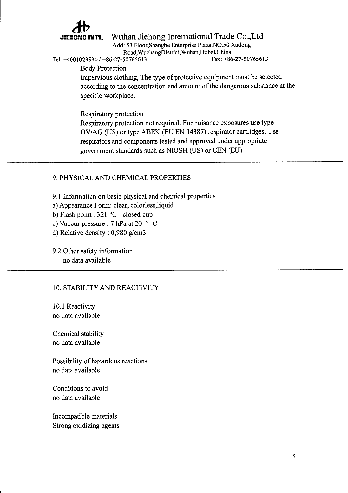# ab

Wuhan Jiehong International Trade Co.,Ltd

Add: 53 Floor,Shanghe Enterprise Plaza,NO.50 Xudong Road, Wuchang District, Wuhan, Hubei, China<br>50765613 Fax: +86-27-50765613

Body Protection

Tel: +4001029990 / +86-27-50765613

impervious clothing, The type of protective equipment must be selected according to the concentration and amount of the dangerous substance at the specific workplace.

Respiratory protection Respiratory protection not required. For nuisance exposures use type OV/AG (US) or type ABEK (EU EN 14387) respirator cartridges. Use respirators and components tested and approved under appropriate government standards such as NIOSH (US) or CEN (EU).

### 9. PHYSICAL AND CHEMICAL PROPERTIES

9.1 Information on basic physical and chemical properties

a) Appearance Form: clear, colorless,liquid

b) Flash point : 321 °C - closed cup

c) Vapour pressure :7 hPa at 20 " <sup>C</sup>

d) Relative density : 0,980 g/cm3

9.2 Other safety information no data available

## 10. STABILITY AND REACTIVITY

10.1 Reactivity no data available

Chemical stability no data available

Possibility of hazardous reactions no data available

Conditions to avoid no data available

Incompatible materials Strong oxidizing agents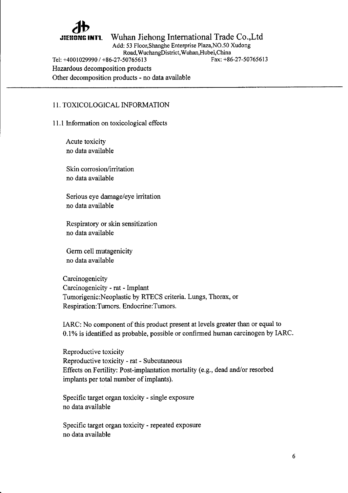# ab

Wuhan Jiehong International Trade Co.,Ltd

Add: 53 Floor,Shanghe Enterprise Plaza,NO.50 Xudong

Road,WuchangDistrict,Wuhan,Hubei,China

Tel: +4001029990 / +86-27-50765613 Hazardous decomposition products

Other decomposition products - no data available

### <sup>1</sup>1. TOXICOLOGICAL INFORMATION

### <sup>1</sup>1.1 Information on toxicological effects

Acute toxicity no data available

Skin corrosion/irritation no data available

Serious eye damage/ eye irritation no data available

Respiratory or skin sensitization no data available

Germ cell mutagenicity no data available

Carcinogenicity Carcinogenicity - rat - Implant Tumorigenic:Neoplastic by RTECS criteria. Lungs, Thorax, or Respiration:Tumors. Endocrine:Tumors.

IARC: No component of this product present at levels greater than or equal to 0.1% is identified as probable, possible or confirmed human carcinogen by IARC.

Reproductive toxicity Reproductive toxicity - rat - Subcutaneous Effects on Fertility: Post-implantation mortality (e.g., dead and/or resorbed implants per total number of implants).

Specific target organ toxicity - single exposure no data available

Specific target organ toxicity - repeated exposure no data available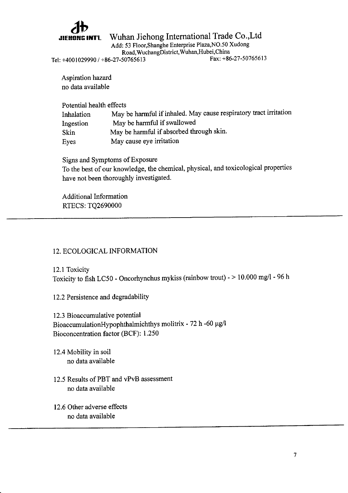

Wuhan Jiehong International Trade Co.,Ltd

Add: 53 Floor,shanghe Enterprise Plaza,NO.5O Xudong

Road, Wuchang District, Wuhan, Hubei, China<br>50765613<br>Fax: +86-27-50765613

Tel: +4001029990 / +86-27-50765613

Aspiration hazard no data available

Potential health effects Inhalation May be harmful if inhaled. May cause respiratory fiact irritation Ingestion May be harmful if swallowed Skin May be harmful if absorbed through skin. Eyes May cause eye irritation

Signs and Symptoms of Exposure

To the best of our knowledge, the chemical, physical, and toxicological properties have not been thoroughly investigated.

Additional Information RTECS: TQ2690000

### 12. ECOLOGICAL INFORMATION

12.1 Toxicity Toxicity to fish LC50 - Oncorhynchus mykiss (rainbow trout) - > 10.000 mgll - 96 <sup>h</sup>

12.2 Persistence and degradability

<sup>1</sup>2.3 Bioaccumulative potential BioaccumulationHypophthalmichthys molitrix - 72 h -60  $\mu$ g/l Bioconcentration factor (BCF): 1.250

12.4 Mobility in soil no data available

- 12.5 Results of PBT and vPvB assessment no data available
- 12.6 Other adverse effects no data available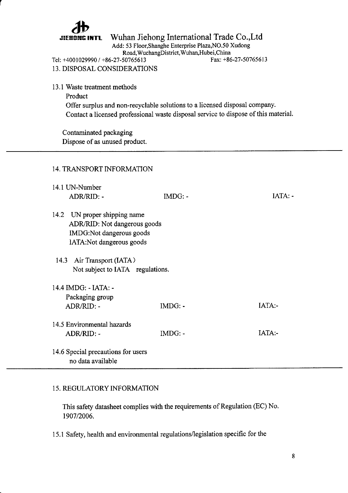

# JIEHONG INTL Wuhan Jiehong International Trade Co.,Ltd

Add: 53 Floor,Shanghe Enterprise Plaza,NO.50 Xudong Road,WuchangDistrict,Wuhan,Hubei,China

Fax: +86-27 -50765613

Tel: +4001029990 / +86-27-50765613 <sup>1</sup>3. DISPOSAL CONSIDERATIONS

- 13.1 Waste treatment methods
	- Product Offer surplus and non-recyclable solutions to a licensed disposal company. Contact a licensed professional waste disposal service to dispose of this material.

Contaminated packaging Dispose of as unused product.

### <sup>1</sup>4. TRANSPORT INFORMATION

| 14.1 UN-Number |                                                         |           |           |
|----------------|---------------------------------------------------------|-----------|-----------|
|                | ADR/RID: -                                              | $IMDG: -$ | $IATA: -$ |
| 14.2           | UN proper shipping name                                 |           |           |
|                | ADR/RID: Not dangerous goods                            |           |           |
|                | IMDG:Not dangerous goods                                |           |           |
|                | lATA:Not dangerous goods                                |           |           |
|                | 14.3 Air Transport (IATA)                               |           |           |
|                | Not subject to IATA regulations.                        |           |           |
|                | 14.4 IMDG: - IATA: -                                    |           |           |
|                | Packaging group                                         |           |           |
|                | $ADR/RID$ : -                                           | $IMDG: -$ | $IATA -$  |
|                | 14.5 Environmental hazards                              |           |           |
|                | ADR/RID: -                                              | $IMDG: -$ | $IATA$ :- |
|                | 14.6 Special precautions for users<br>no data available |           |           |

#### <sup>1</sup>5. REGULATORY INFORMATION

This safety datasheet complies with the requirements of Regulation (EC) No. 1907/2006.

15.1 Safety, health and environmental regulations/legislation specific for the